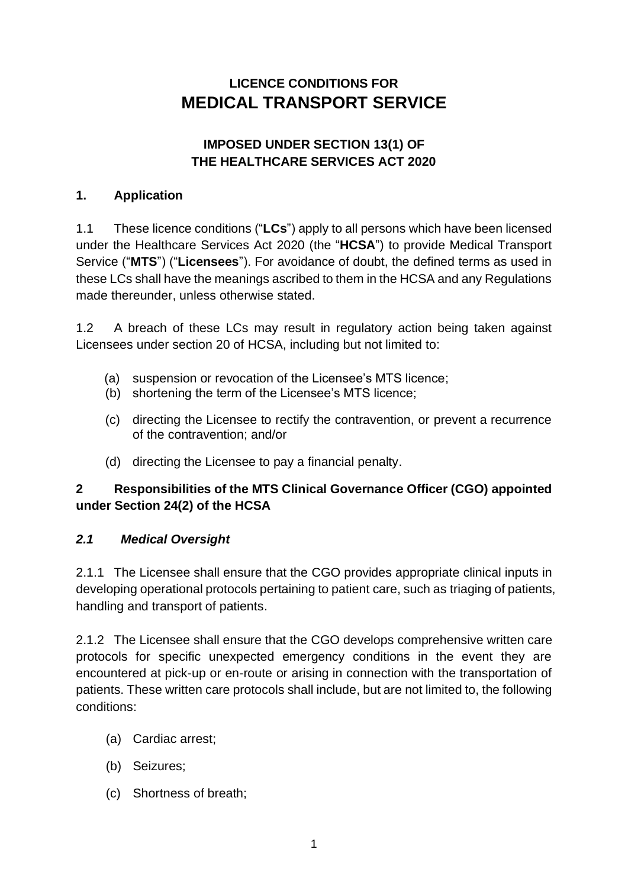# **LICENCE CONDITIONS FOR MEDICAL TRANSPORT SERVICE**

## **IMPOSED UNDER SECTION 13(1) OF THE HEALTHCARE SERVICES ACT 2020**

## **1. Application**

1.1 These licence conditions ("**LCs**") apply to all persons which have been licensed under the Healthcare Services Act 2020 (the "**HCSA**") to provide Medical Transport Service ("**MTS**") ("**Licensees**"). For avoidance of doubt, the defined terms as used in these LCs shall have the meanings ascribed to them in the HCSA and any Regulations made thereunder, unless otherwise stated.

1.2 A breach of these LCs may result in regulatory action being taken against Licensees under section 20 of HCSA, including but not limited to:

- (a) suspension or revocation of the Licensee's MTS licence;
- (b) shortening the term of the Licensee's MTS licence;
- (c) directing the Licensee to rectify the contravention, or prevent a recurrence of the contravention; and/or
- (d) directing the Licensee to pay a financial penalty.

# **2 Responsibilities of the MTS Clinical Governance Officer (CGO) appointed under Section 24(2) of the HCSA**

## *2.1 Medical Oversight*

2.1.1 The Licensee shall ensure that the CGO provides appropriate clinical inputs in developing operational protocols pertaining to patient care, such as triaging of patients, handling and transport of patients.

2.1.2 The Licensee shall ensure that the CGO develops comprehensive written care protocols for specific unexpected emergency conditions in the event they are encountered at pick-up or en-route or arising in connection with the transportation of patients. These written care protocols shall include, but are not limited to, the following conditions:

- (a) Cardiac arrest;
- (b) Seizures;
- (c) Shortness of breath;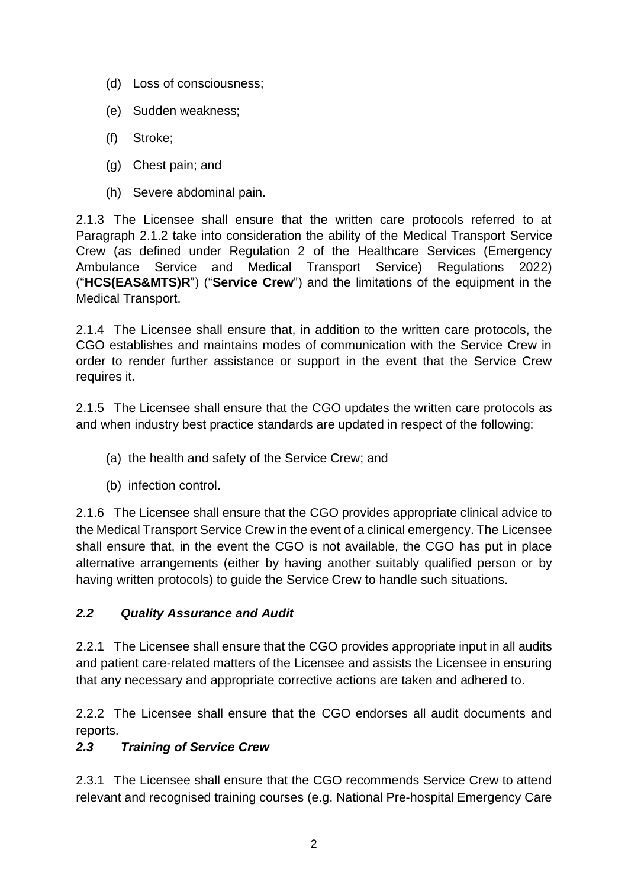- (d) Loss of consciousness;
- (e) Sudden weakness;
- (f) Stroke;
- (g) Chest pain; and
- (h) Severe abdominal pain.

2.1.3 The Licensee shall ensure that the written care protocols referred to at Paragraph 2.1.2 take into consideration the ability of the Medical Transport Service Crew (as defined under Regulation 2 of the Healthcare Services (Emergency Ambulance Service and Medical Transport Service) Regulations 2022) ("**HCS(EAS&MTS)R**") ("**Service Crew**") and the limitations of the equipment in the Medical Transport.

2.1.4 The Licensee shall ensure that, in addition to the written care protocols, the CGO establishes and maintains modes of communication with the Service Crew in order to render further assistance or support in the event that the Service Crew requires it.

2.1.5 The Licensee shall ensure that the CGO updates the written care protocols as and when industry best practice standards are updated in respect of the following:

- (a) the health and safety of the Service Crew; and
- (b) infection control.

2.1.6 The Licensee shall ensure that the CGO provides appropriate clinical advice to the Medical Transport Service Crew in the event of a clinical emergency. The Licensee shall ensure that, in the event the CGO is not available, the CGO has put in place alternative arrangements (either by having another suitably qualified person or by having written protocols) to guide the Service Crew to handle such situations.

## *2.2 Quality Assurance and Audit*

2.2.1 The Licensee shall ensure that the CGO provides appropriate input in all audits and patient care-related matters of the Licensee and assists the Licensee in ensuring that any necessary and appropriate corrective actions are taken and adhered to.

2.2.2 The Licensee shall ensure that the CGO endorses all audit documents and reports.

## *2.3 Training of Service Crew*

2.3.1 The Licensee shall ensure that the CGO recommends Service Crew to attend relevant and recognised training courses (e.g. National Pre-hospital Emergency Care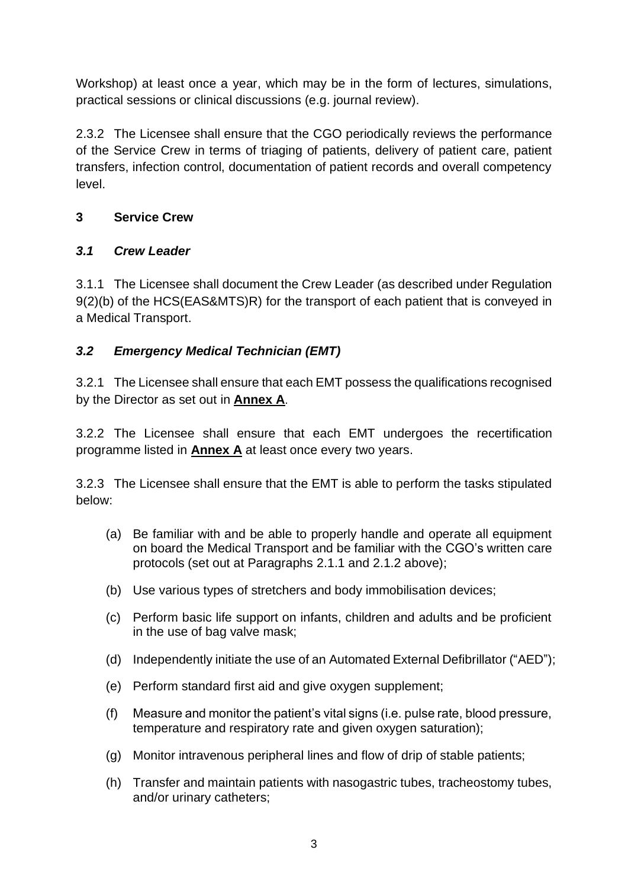Workshop) at least once a year, which may be in the form of lectures, simulations, practical sessions or clinical discussions (e.g. journal review).

2.3.2 The Licensee shall ensure that the CGO periodically reviews the performance of the Service Crew in terms of triaging of patients, delivery of patient care, patient transfers, infection control, documentation of patient records and overall competency level.

# **3 Service Crew**

# *3.1 Crew Leader*

3.1.1 The Licensee shall document the Crew Leader (as described under Regulation 9(2)(b) of the HCS(EAS&MTS)R) for the transport of each patient that is conveyed in a Medical Transport.

# *3.2 Emergency Medical Technician (EMT)*

3.2.1 The Licensee shall ensure that each EMT possess the qualifications recognised by the Director as set out in **Annex A**.

3.2.2 The Licensee shall ensure that each EMT undergoes the recertification programme listed in **Annex A** at least once every two years.

3.2.3 The Licensee shall ensure that the EMT is able to perform the tasks stipulated below:

- (a) Be familiar with and be able to properly handle and operate all equipment on board the Medical Transport and be familiar with the CGO's written care protocols (set out at Paragraphs 2.1.1 and 2.1.2 above);
- (b) Use various types of stretchers and body immobilisation devices;
- (c) Perform basic life support on infants, children and adults and be proficient in the use of bag valve mask;
- (d) Independently initiate the use of an Automated External Defibrillator ("AED");
- (e) Perform standard first aid and give oxygen supplement;
- (f) Measure and monitor the patient's vital signs (i.e. pulse rate, blood pressure, temperature and respiratory rate and given oxygen saturation);
- (g) Monitor intravenous peripheral lines and flow of drip of stable patients;
- (h) Transfer and maintain patients with nasogastric tubes, tracheostomy tubes, and/or urinary catheters;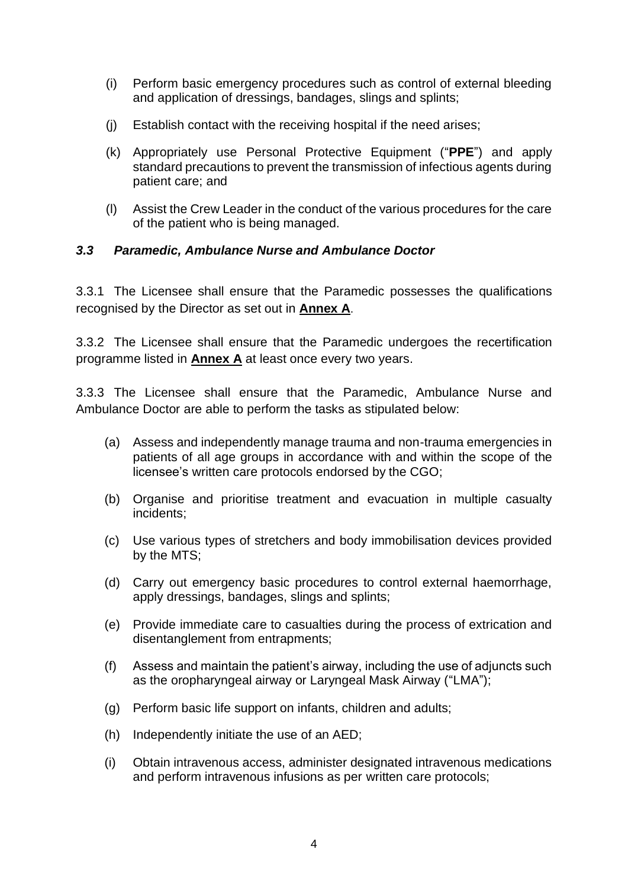- (i) Perform basic emergency procedures such as control of external bleeding and application of dressings, bandages, slings and splints;
- (j) Establish contact with the receiving hospital if the need arises;
- (k) Appropriately use Personal Protective Equipment ("**PPE**") and apply standard precautions to prevent the transmission of infectious agents during patient care; and
- (l) Assist the Crew Leader in the conduct of the various procedures for the care of the patient who is being managed.

#### *3.3 Paramedic, Ambulance Nurse and Ambulance Doctor*

3.3.1 The Licensee shall ensure that the Paramedic possesses the qualifications recognised by the Director as set out in **Annex A**.

3.3.2 The Licensee shall ensure that the Paramedic undergoes the recertification programme listed in **Annex A** at least once every two years.

3.3.3 The Licensee shall ensure that the Paramedic, Ambulance Nurse and Ambulance Doctor are able to perform the tasks as stipulated below:

- (a) Assess and independently manage trauma and non-trauma emergencies in patients of all age groups in accordance with and within the scope of the licensee's written care protocols endorsed by the CGO;
- (b) Organise and prioritise treatment and evacuation in multiple casualty incidents;
- (c) Use various types of stretchers and body immobilisation devices provided by the MTS;
- (d) Carry out emergency basic procedures to control external haemorrhage, apply dressings, bandages, slings and splints;
- (e) Provide immediate care to casualties during the process of extrication and disentanglement from entrapments;
- (f) Assess and maintain the patient's airway, including the use of adjuncts such as the oropharyngeal airway or Laryngeal Mask Airway ("LMA");
- (g) Perform basic life support on infants, children and adults;
- (h) Independently initiate the use of an AED;
- (i) Obtain intravenous access, administer designated intravenous medications and perform intravenous infusions as per written care protocols;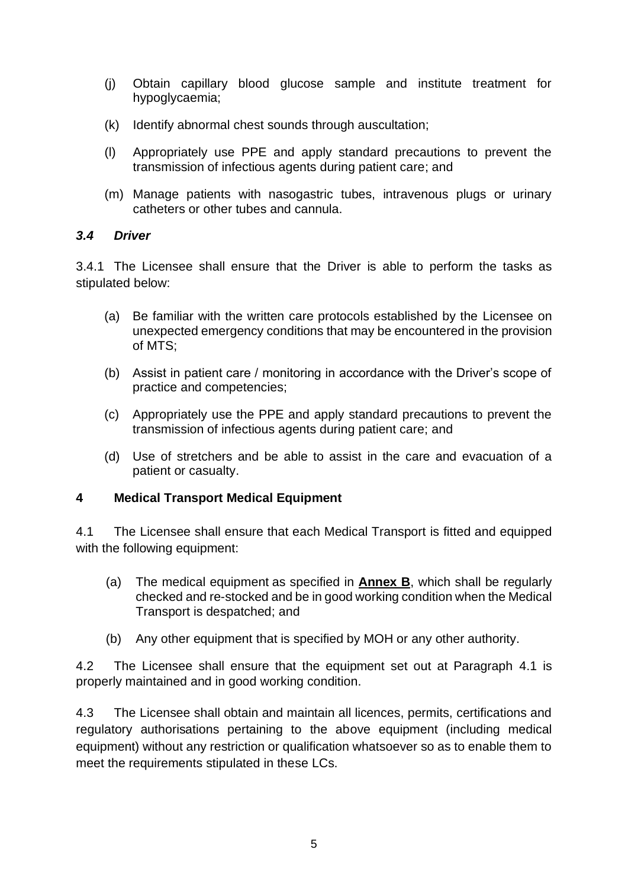- (j) Obtain capillary blood glucose sample and institute treatment for hypoglycaemia;
- (k) Identify abnormal chest sounds through auscultation;
- (l) Appropriately use PPE and apply standard precautions to prevent the transmission of infectious agents during patient care; and
- (m) Manage patients with nasogastric tubes, intravenous plugs or urinary catheters or other tubes and cannula.

#### *3.4 Driver*

3.4.1 The Licensee shall ensure that the Driver is able to perform the tasks as stipulated below:

- (a) Be familiar with the written care protocols established by the Licensee on unexpected emergency conditions that may be encountered in the provision of MTS;
- (b) Assist in patient care / monitoring in accordance with the Driver's scope of practice and competencies;
- (c) Appropriately use the PPE and apply standard precautions to prevent the transmission of infectious agents during patient care; and
- (d) Use of stretchers and be able to assist in the care and evacuation of a patient or casualty.

#### **4 Medical Transport Medical Equipment**

4.1 The Licensee shall ensure that each Medical Transport is fitted and equipped with the following equipment:

- (a) The medical equipment as specified in **Annex B**, which shall be regularly checked and re-stocked and be in good working condition when the Medical Transport is despatched; and
- (b) Any other equipment that is specified by MOH or any other authority.

4.2 The Licensee shall ensure that the equipment set out at Paragraph 4.1 is properly maintained and in good working condition.

4.3 The Licensee shall obtain and maintain all licences, permits, certifications and regulatory authorisations pertaining to the above equipment (including medical equipment) without any restriction or qualification whatsoever so as to enable them to meet the requirements stipulated in these LCs.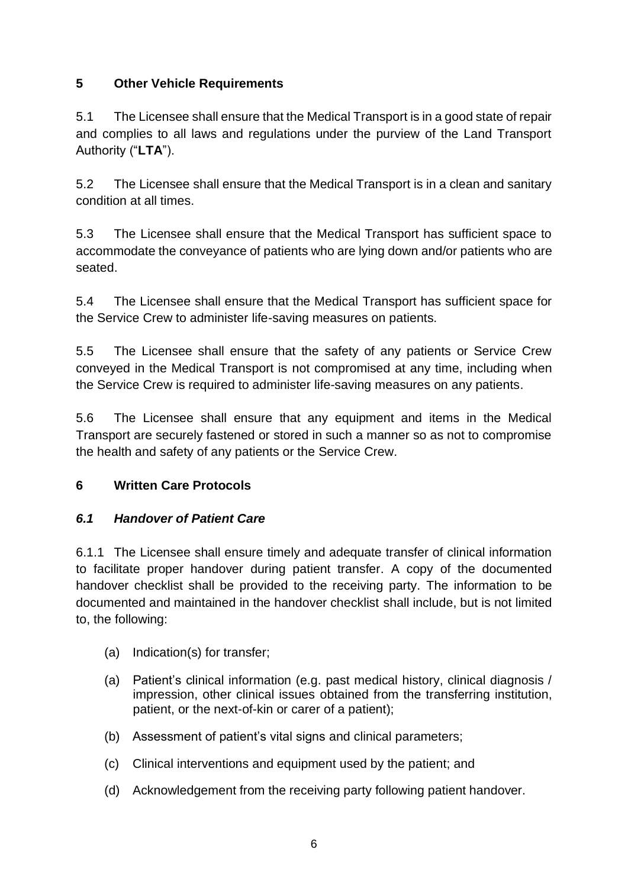# **5 Other Vehicle Requirements**

5.1 The Licensee shall ensure that the Medical Transport is in a good state of repair and complies to all laws and regulations under the purview of the Land Transport Authority ("**LTA**").

5.2 The Licensee shall ensure that the Medical Transport is in a clean and sanitary condition at all times.

5.3 The Licensee shall ensure that the Medical Transport has sufficient space to accommodate the conveyance of patients who are lying down and/or patients who are seated.

5.4 The Licensee shall ensure that the Medical Transport has sufficient space for the Service Crew to administer life-saving measures on patients.

5.5 The Licensee shall ensure that the safety of any patients or Service Crew conveyed in the Medical Transport is not compromised at any time, including when the Service Crew is required to administer life-saving measures on any patients.

5.6 The Licensee shall ensure that any equipment and items in the Medical Transport are securely fastened or stored in such a manner so as not to compromise the health and safety of any patients or the Service Crew.

## **6 Written Care Protocols**

## *6.1 Handover of Patient Care*

6.1.1 The Licensee shall ensure timely and adequate transfer of clinical information to facilitate proper handover during patient transfer. A copy of the documented handover checklist shall be provided to the receiving party. The information to be documented and maintained in the handover checklist shall include, but is not limited to, the following:

- (a) Indication(s) for transfer;
- (a) Patient's clinical information (e.g. past medical history, clinical diagnosis / impression, other clinical issues obtained from the transferring institution, patient, or the next-of-kin or carer of a patient);
- (b) Assessment of patient's vital signs and clinical parameters;
- (c) Clinical interventions and equipment used by the patient; and
- (d) Acknowledgement from the receiving party following patient handover.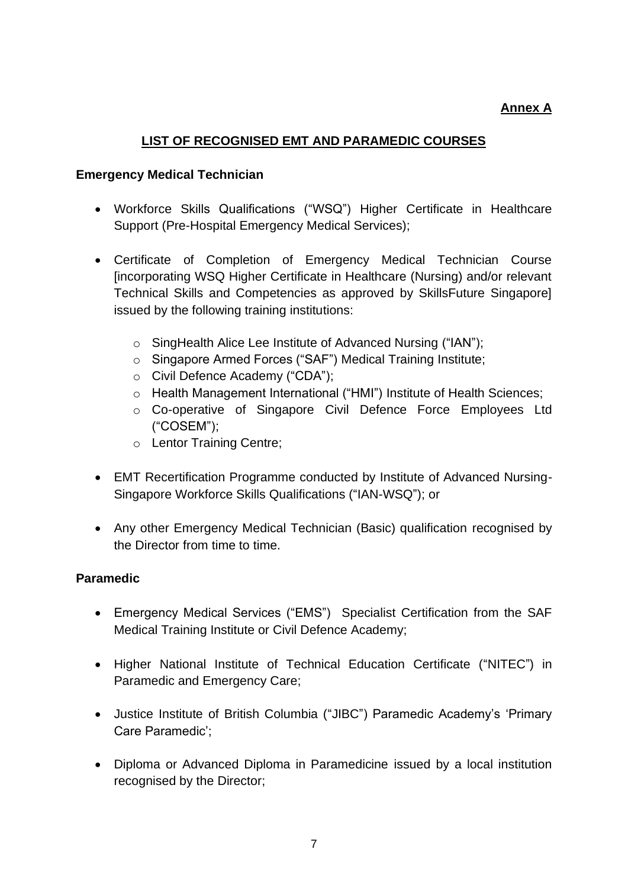#### **Annex A**

#### **LIST OF RECOGNISED EMT AND PARAMEDIC COURSES**

#### **Emergency Medical Technician**

- Workforce Skills Qualifications ("WSQ") Higher Certificate in Healthcare Support (Pre-Hospital Emergency Medical Services);
- Certificate of Completion of Emergency Medical Technician Course [incorporating WSQ Higher Certificate in Healthcare (Nursing) and/or relevant Technical Skills and Competencies as approved by SkillsFuture Singapore] issued by the following training institutions:
	- o SingHealth Alice Lee Institute of Advanced Nursing ("IAN");
	- o Singapore Armed Forces ("SAF") Medical Training Institute;
	- o Civil Defence Academy ("CDA");
	- o Health Management International ("HMI") Institute of Health Sciences;
	- o Co-operative of Singapore Civil Defence Force Employees Ltd ("COSEM");
	- o Lentor Training Centre;
- EMT Recertification Programme conducted by Institute of Advanced Nursing-Singapore Workforce Skills Qualifications ("IAN-WSQ"); or
- Any other Emergency Medical Technician (Basic) qualification recognised by the Director from time to time.

#### **Paramedic**

- Emergency Medical Services ("EMS") Specialist Certification from the SAF Medical Training Institute or Civil Defence Academy;
- Higher National Institute of Technical Education Certificate ("NITEC") in Paramedic and Emergency Care;
- Justice Institute of British Columbia ("JIBC") Paramedic Academy's 'Primary Care Paramedic';
- Diploma or Advanced Diploma in Paramedicine issued by a local institution recognised by the Director;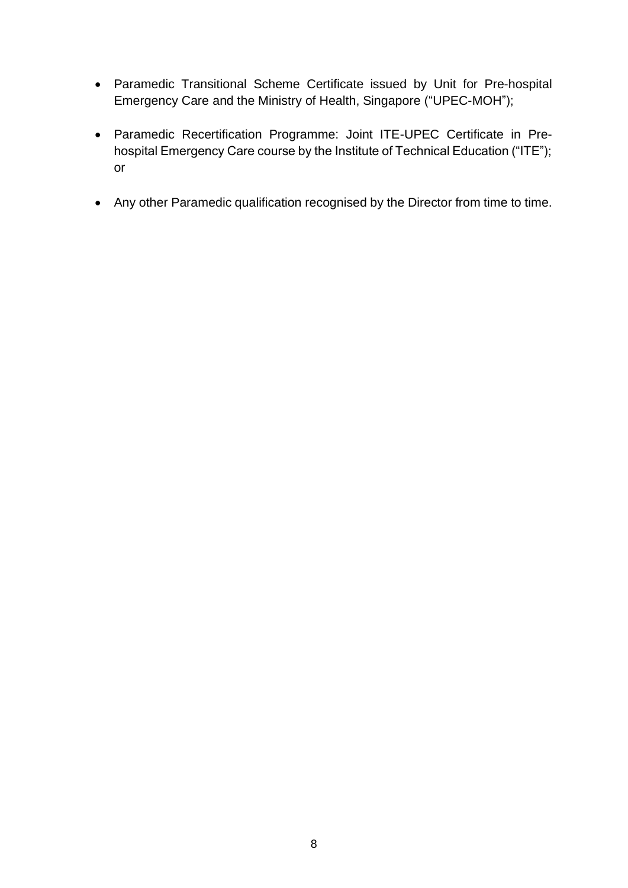- Paramedic Transitional Scheme Certificate issued by Unit for Pre-hospital Emergency Care and the Ministry of Health, Singapore ("UPEC-MOH");
- Paramedic Recertification Programme: Joint ITE-UPEC Certificate in Prehospital Emergency Care course by the Institute of Technical Education ("ITE"); or
- Any other Paramedic qualification recognised by the Director from time to time.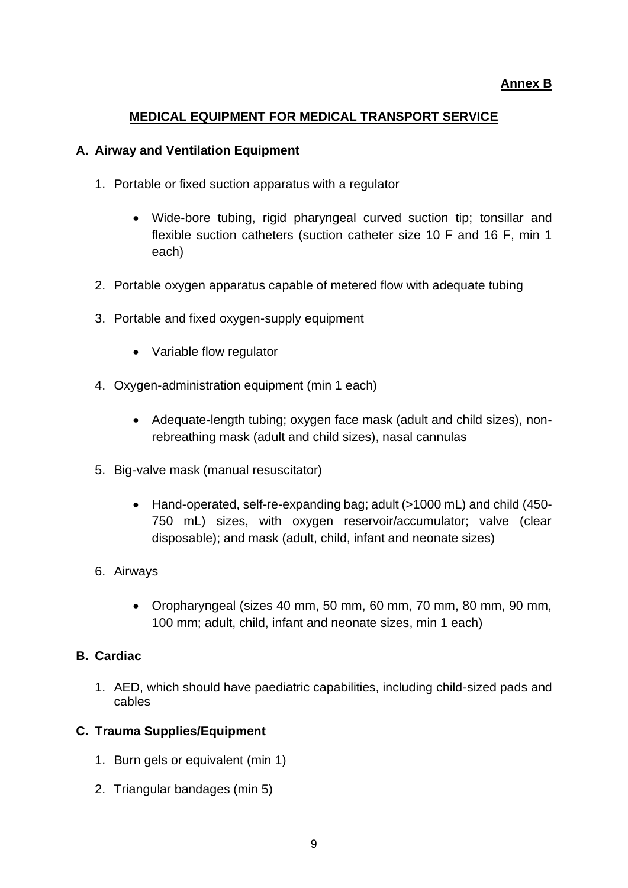#### **MEDICAL EQUIPMENT FOR MEDICAL TRANSPORT SERVICE**

#### **A. Airway and Ventilation Equipment**

- 1. Portable or fixed suction apparatus with a regulator
	- Wide-bore tubing, rigid pharyngeal curved suction tip; tonsillar and flexible suction catheters (suction catheter size 10 F and 16 F, min 1 each)
- 2. Portable oxygen apparatus capable of metered flow with adequate tubing
- 3. Portable and fixed oxygen-supply equipment
	- Variable flow regulator
- 4. Oxygen-administration equipment (min 1 each)
	- Adequate-length tubing; oxygen face mask (adult and child sizes), nonrebreathing mask (adult and child sizes), nasal cannulas
- 5. Big-valve mask (manual resuscitator)
	- Hand-operated, self-re-expanding bag; adult (>1000 mL) and child (450- 750 mL) sizes, with oxygen reservoir/accumulator; valve (clear disposable); and mask (adult, child, infant and neonate sizes)
- 6. Airways
	- Oropharyngeal (sizes 40 mm, 50 mm, 60 mm, 70 mm, 80 mm, 90 mm, 100 mm; adult, child, infant and neonate sizes, min 1 each)

#### **B. Cardiac**

1. AED, which should have paediatric capabilities, including child-sized pads and cables

#### **C. Trauma Supplies/Equipment**

- 1. Burn gels or equivalent (min 1)
- 2. Triangular bandages (min 5)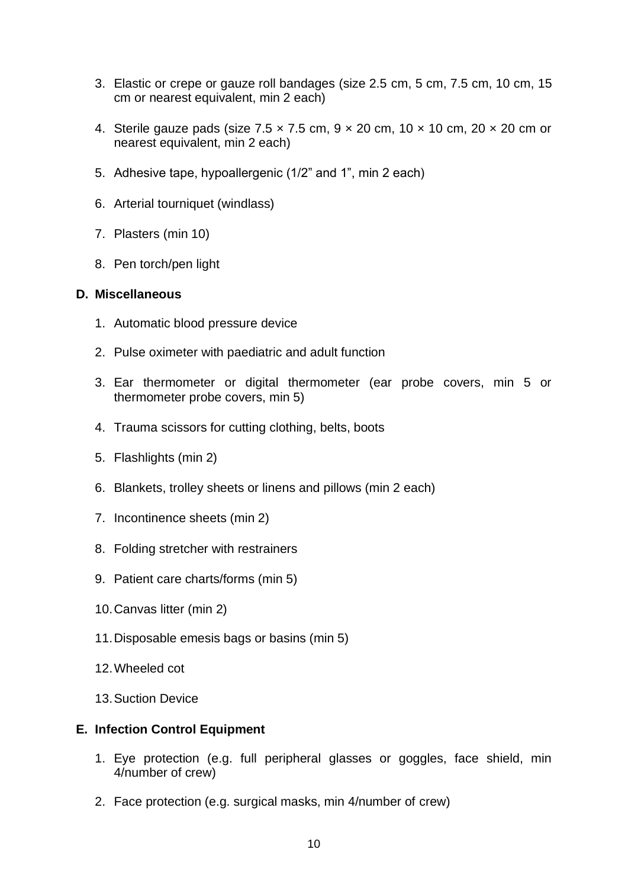- 3. Elastic or crepe or gauze roll bandages (size 2.5 cm, 5 cm, 7.5 cm, 10 cm, 15 cm or nearest equivalent, min 2 each)
- 4. Sterile gauze pads (size  $7.5 \times 7.5$  cm,  $9 \times 20$  cm,  $10 \times 10$  cm,  $20 \times 20$  cm or nearest equivalent, min 2 each)
- 5. Adhesive tape, hypoallergenic (1/2" and 1", min 2 each)
- 6. Arterial tourniquet (windlass)
- 7. Plasters (min 10)
- 8. Pen torch/pen light

#### **D. Miscellaneous**

- 1. Automatic blood pressure device
- 2. Pulse oximeter with paediatric and adult function
- 3. Ear thermometer or digital thermometer (ear probe covers, min 5 or thermometer probe covers, min 5)
- 4. Trauma scissors for cutting clothing, belts, boots
- 5. Flashlights (min 2)
- 6. Blankets, trolley sheets or linens and pillows (min 2 each)
- 7. Incontinence sheets (min 2)
- 8. Folding stretcher with restrainers
- 9. Patient care charts/forms (min 5)
- 10.Canvas litter (min 2)
- 11.Disposable emesis bags or basins (min 5)
- 12.Wheeled cot
- 13.Suction Device

#### **E. Infection Control Equipment**

- 1. Eye protection (e.g. full peripheral glasses or goggles, face shield, min 4/number of crew)
- 2. Face protection (e.g. surgical masks, min 4/number of crew)